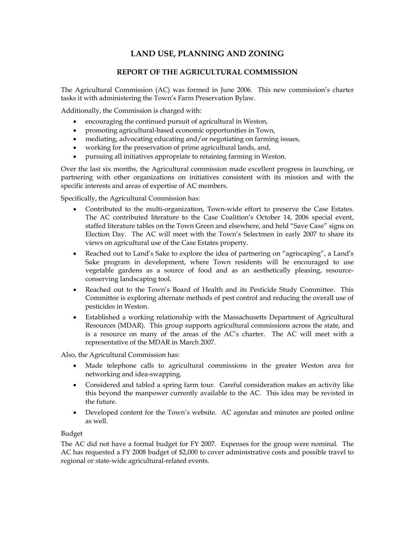# **LAND USE, PLANNING AND ZONING**

# **REPORT OF THE AGRICULTURAL COMMISSION**

The Agricultural Commission (AC) was formed in June 2006. This new commission's charter tasks it with administering the Town's Farm Preservation Bylaw.

Additionally, the Commission is charged with:

- encouraging the continued pursuit of agricultural in Weston,
- promoting agricultural-based economic opportunities in Town,
- mediating, advocating educating and/or negotiating on farming issues,
- working for the preservation of prime agricultural lands, and,
- pursuing all initiatives appropriate to retaining farming in Weston.

Over the last six months, the Agricultural commission made excellent progress in launching, or partnering with other organizations on initiatives consistent with its mission and with the specific interests and areas of expertise of AC members.

Specifically, the Agricultural Commission has:

- Contributed to the multi-organization, Town-wide effort to preserve the Case Estates. The AC contributed literature to the Case Coalition's October 14, 2006 special event, staffed literature tables on the Town Green and elsewhere, and held "Save Case" signs on Election Day. The AC will meet with the Town's Selectmen in early 2007 to share its views on agricultural use of the Case Estates property.
- Reached out to Land's Sake to explore the idea of partnering on "agriscaping", a Land's Sake program in development, where Town residents will be encouraged to use vegetable gardens as a source of food and as an aesthetically pleasing, resourceconserving landscaping tool.
- Reached out to the Town's Board of Health and its Pesticide Study Committee. This Committee is exploring alternate methods of pest control and reducing the overall use of pesticides in Weston.
- Established a working relationship with the Massachusetts Department of Agricultural Resources (MDAR). This group supports agricultural commissions across the state, and is a resource on many of the areas of the AC's charter. The AC will meet with a representative of the MDAR in March 2007.

Also, the Agricultural Commission has:

- Made telephone calls to agricultural commissions in the greater Weston area for networking and idea-swapping.
- Considered and tabled a spring farm tour. Careful consideration makes an activity like this beyond the manpower currently available to the AC. This idea may be revisted in the future.
- Developed content for the Town's website. AC agendas and minutes are posted online as well.

Budget

The AC did not have a formal budget for FY 2007. Expenses for the group were nominal. The AC has requested a FY 2008 budget of \$2,000 to cover administrative costs and possible travel to regional or state-wide agricultural-related events.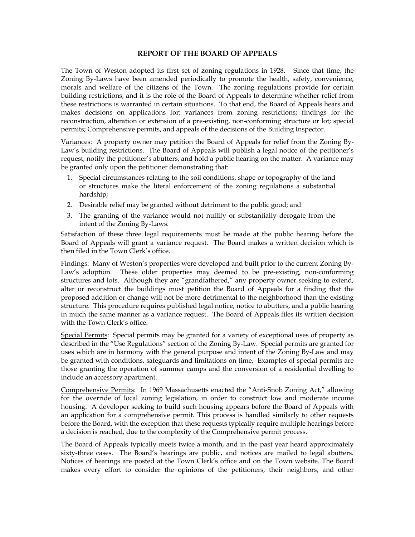#### **REPORT OF THE BOARD OF APPEALS**

The Town of Weston adopted its first set of zoning regulations in 1928. Since that time, the Zoning By-Laws have been amended periodically to promote the health, safety, convenience, morals and welfare of the citizens of the Town. The zoning regulations provide for certain building restrictions, and it is the role of the Board of Appeals to determine whether relief from these restrictions is warranted in certain situations. To that end, the Board of Appeals hears and makes decisions on applications for: variances from zoning restrictions; findings for the reconstruction, alteration or extension of a pre-existing, non-conforming structure or lot; special permits; Comprehensive permits, and appeals of the decisions of the Building Inspector.

Variances: A property owner may petition the Board of Appeals for relief from the Zoning By-Law's building restrictions. The Board of Appeals will publish a legal notice of the petitioner's request, notify the petitioner's abutters, and hold a public hearing on the matter. A variance may be granted only upon the petitioner demonstrating that:

- 1. Special circumstances relating to the soil conditions, shape or topography of the land or structures make the literal enforcement of the zoning regulations a substantial hardship;
- 2. Desirable relief may be granted without detriment to the public good; and
- 3. The granting of the variance would not nullify or substantially derogate from the intent of the Zoning By-Laws.

Satisfaction of these three legal requirements must be made at the public hearing before the Board of Appeals will grant a variance request. The Board makes a written decision which is then filed in the Town Clerk's office.

Findings: Many of Weston's properties were developed and built prior to the current Zoning By-Law's adoption. These older properties may deemed to be pre-existing, non-conforming structures and lots. Although they are "grandfathered," any property owner seeking to extend, alter or reconstruct the buildings must petition the Board of Appeals for a finding that the proposed addition or change will not be more detrimental to the neighborhood than the existing structure. This procedure requires published legal notice, notice to abutters, and a public hearing in much the same manner as a variance request. The Board of Appeals files its written decision with the Town Clerk's office.

Special Permits: Special permits may be granted for a variety of exceptional uses of property as described in the "Use Regulations" section of the Zoning By-Law. Special permits are granted for uses which are in harmony with the general purpose and intent of the Zoning By-Law and may be granted with conditions, safeguards and limitations on time. Examples of special permits are those granting the operation of summer camps and the conversion of a residential dwelling to include an accessory apartment.

Comprehensive Permits: In 1969 Massachusetts enacted the "Anti-Snob Zoning Act," allowing for the override of local zoning legislation, in order to construct low and moderate income housing. A developer seeking to build such housing appears before the Board of Appeals with an application for a comprehensive permit. This process is handled similarly to other requests before the Board, with the exception that these requests typically require multiple hearings before a decision is reached, due to the complexity of the Comprehensive permit process.

The Board of Appeals typically meets twice a month, and in the past year heard approximately sixty-three cases. The Board's hearings are public, and notices are mailed to legal abutters. Notices of hearings are posted at the Town Clerk's office and on the Town website. The Board makes every effort to consider the opinions of the petitioners, their neighbors, and other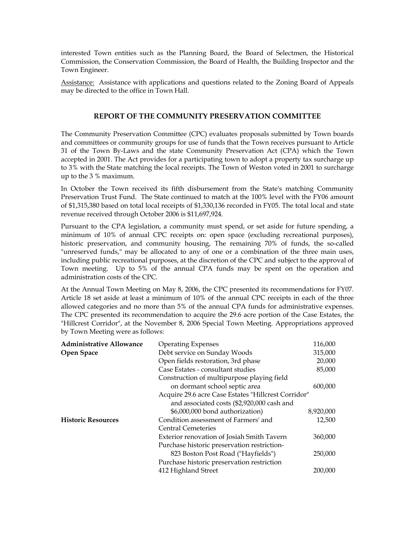interested Town entities such as the Planning Board, the Board of Selectmen, the Historical Commission, the Conservation Commission, the Board of Health, the Building Inspector and the Town Engineer.

Assistance: Assistance with applications and questions related to the Zoning Board of Appeals may be directed to the office in Town Hall.

# **REPORT OF THE COMMUNITY PRESERVATION COMMITTEE**

The Community Preservation Committee (CPC) evaluates proposals submitted by Town boards and committees or community groups for use of funds that the Town receives pursuant to Article 31 of the Town By-Laws and the state Community Preservation Act (CPA) which the Town accepted in 2001. The Act provides for a participating town to adopt a property tax surcharge up to 3% with the State matching the local receipts. The Town of Weston voted in 2001 to surcharge up to the 3 % maximum.

In October the Town received its fifth disbursement from the State's matching Community Preservation Trust Fund. The State continued to match at the 100% level with the FY06 amount of \$1,315,380 based on total local receipts of \$1,330,136 recorded in FY05. The total local and state revenue received through October 2006 is \$11,697,924.

Pursuant to the CPA legislation, a community must spend, or set aside for future spending, a minimum of 10% of annual CPC receipts on: open space (excluding recreational purposes), historic preservation, and community housing, The remaining 70% of funds, the so-called "unreserved funds," may be allocated to any of one or a combination of the three main uses, including public recreational purposes, at the discretion of the CPC and subject to the approval of Town meeting. Up to 5% of the annual CPA funds may be spent on the operation and administration costs of the CPC.

At the Annual Town Meeting on May 8, 2006, the CPC presented its recommendations for FY07. Article 18 set aside at least a minimum of 10% of the annual CPC receipts in each of the three allowed categories and no more than 5% of the annual CPA funds for administrative expenses. The CPC presented its recommendation to acquire the 29.6 acre portion of the Case Estates, the "Hillcrest Corridor", at the November 8, 2006 Special Town Meeting. Appropriations approved by Town Meeting were as follows:

| <b>Administrative Allowance</b> | <b>Operating Expenses</b>                           | 116,000   |  |  |
|---------------------------------|-----------------------------------------------------|-----------|--|--|
| Open Space                      | Debt service on Sunday Woods                        | 315,000   |  |  |
|                                 | Open fields restoration, 3rd phase                  | 20,000    |  |  |
|                                 | Case Estates - consultant studies                   | 85,000    |  |  |
|                                 | Construction of multipurpose playing field          |           |  |  |
|                                 | on dormant school septic area                       | 600,000   |  |  |
|                                 | Acquire 29.6 acre Case Estates "Hillcrest Corridor" |           |  |  |
|                                 | and associated costs (\$2,920,000 cash and          |           |  |  |
|                                 | \$6,000,000 bond authorization)                     | 8,920,000 |  |  |
| <b>Historic Resources</b>       | Condition assessment of Farmers' and                | 12,500    |  |  |
|                                 | <b>Central Cemeteries</b>                           |           |  |  |
|                                 | Exterior renovation of Josiah Smith Tavern          | 360,000   |  |  |
|                                 | Purchase historic preservation restriction-         |           |  |  |
|                                 | 823 Boston Post Road ("Hayfields")                  | 250,000   |  |  |
|                                 | Purchase historic preservation restriction          |           |  |  |
|                                 | 412 Highland Street                                 | 200,000   |  |  |
|                                 |                                                     |           |  |  |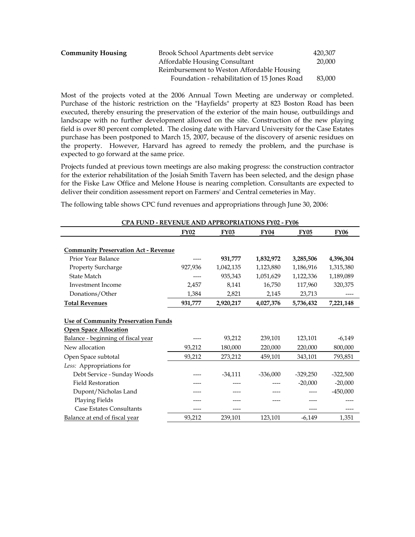| <b>Community Housing</b> | Brook School Apartments debt service         | 420,307 |
|--------------------------|----------------------------------------------|---------|
|                          | Affordable Housing Consultant                | 20,000  |
|                          | Reimbursement to Weston Affordable Housing   |         |
|                          | Foundation - rehabilitation of 15 Jones Road | 83,000  |

Most of the projects voted at the 2006 Annual Town Meeting are underway or completed. Purchase of the historic restriction on the "Hayfields" property at 823 Boston Road has been executed, thereby ensuring the preservation of the exterior of the main house, outbuildings and landscape with no further development allowed on the site. Construction of the new playing field is over 80 percent completed. The closing date with Harvard University for the Case Estates purchase has been postponed to March 15, 2007, because of the discovery of arsenic residues on the property. However, Harvard has agreed to remedy the problem, and the purchase is expected to go forward at the same price.

Projects funded at previous town meetings are also making progress: the construction contractor for the exterior rehabilitation of the Josiah Smith Tavern has been selected, and the design phase for the Fiske Law Office and Melone House is nearing completion. Consultants are expected to deliver their condition assessment report on Farmers' and Central cemeteries in May.

The following table shows CPC fund revenues and appropriations through June 30, 2006:

| CPA FUND - REVENUE AND APPROPRIATIONS FY02 - FY06                          |             |             |             |             |             |  |
|----------------------------------------------------------------------------|-------------|-------------|-------------|-------------|-------------|--|
|                                                                            | <b>FY02</b> | <b>FY03</b> | <b>FY04</b> | <b>FY05</b> | <b>FY06</b> |  |
| <b>Community Preservation Act - Revenue</b>                                |             |             |             |             |             |  |
| Prior Year Balance                                                         |             |             |             |             |             |  |
|                                                                            |             | 931,777     | 1,832,972   | 3,285,506   | 4,396,304   |  |
| Property Surcharge                                                         | 927,936     | 1,042,135   | 1,123,880   | 1,186,916   | 1,315,380   |  |
| State Match                                                                |             | 935,343     | 1,051,629   | 1,122,336   | 1,189,089   |  |
| Investment Income                                                          | 2,457       | 8,141       | 16,750      | 117,960     | 320,375     |  |
| Donations/Other                                                            | 1,384       | 2,821       | 2,145       | 23,713      |             |  |
| <b>Total Revenues</b>                                                      | 931,777     | 2,920,217   | 4,027,376   | 5,736,432   | 7,221,148   |  |
| <b>Use of Community Preservation Funds</b><br><b>Open Space Allocation</b> |             |             |             |             |             |  |
| Balance - beginning of fiscal year                                         |             | 93,212      | 239,101     | 123,101     | $-6,149$    |  |
| New allocation                                                             | 93,212      | 180,000     | 220,000     | 220,000     | 800,000     |  |
| Open Space subtotal                                                        | 93,212      | 273,212     | 459,101     | 343,101     | 793,851     |  |
| Less: Appropriations for                                                   |             |             |             |             |             |  |
| Debt Service - Sunday Woods                                                |             | $-34,111$   | $-336,000$  | $-329,250$  | $-322,500$  |  |
| <b>Field Restoration</b>                                                   |             |             |             | $-20,000$   | $-20,000$   |  |
| Dupont/Nicholas Land                                                       |             |             |             |             | $-450,000$  |  |
| <b>Playing Fields</b>                                                      |             |             |             |             |             |  |
| <b>Case Estates Consultants</b>                                            |             |             |             |             |             |  |
| Balance at end of fiscal year                                              | 93,212      | 239,101     | 123,101     | $-6,149$    | 1,351       |  |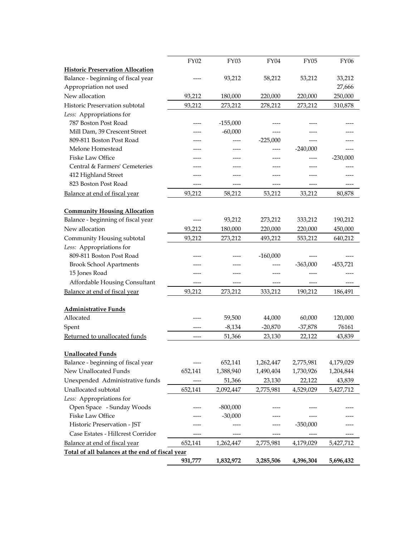|                                                 | <b>FY02</b> | <b>FY03</b> | FY04       | <b>FY05</b> | <b>FY06</b> |
|-------------------------------------------------|-------------|-------------|------------|-------------|-------------|
| <b>Historic Preservation Allocation</b>         |             |             |            |             |             |
| Balance - beginning of fiscal year              |             | 93,212      | 58,212     | 53,212      | 33,212      |
| Appropriation not used                          |             |             |            |             | 27,666      |
| New allocation                                  | 93,212      | 180,000     | 220,000    | 220,000     | 250,000     |
| Historic Preservation subtotal                  | 93,212      | 273,212     | 278,212    | 273,212     | 310,878     |
| Less: Appropriations for                        |             |             |            |             |             |
| 787 Boston Post Road                            | ----        | $-155,000$  |            |             |             |
| Mill Dam, 39 Crescent Street                    |             | $-60,000$   |            |             |             |
| 809-811 Boston Post Road                        |             |             | $-225,000$ | ----        |             |
| Melone Homestead                                |             |             |            | $-240,000$  |             |
| Fiske Law Office                                |             |             |            |             | $-230,000$  |
| Central & Farmers' Cemeteries                   |             |             |            |             |             |
| 412 Highland Street                             |             |             |            |             |             |
| 823 Boston Post Road                            | ----        | ----        | ----       | ----        |             |
| Balance at end of fiscal year                   | 93,212      | 58,212      | 53,212     | 33,212      | 80,878      |
|                                                 |             |             |            |             |             |
| <b>Community Housing Allocation</b>             |             |             |            |             |             |
| Balance - beginning of fiscal year              |             | 93,212      | 273,212    | 333,212     | 190,212     |
| New allocation                                  | 93,212      | 180,000     | 220,000    | 220,000     | 450,000     |
| Community Housing subtotal                      | 93,212      | 273,212     | 493,212    | 553,212     | 640,212     |
| Less: Appropriations for                        |             |             |            |             |             |
| 809-811 Boston Post Road                        |             |             | $-160,000$ |             |             |
| <b>Brook School Apartments</b>                  |             |             |            | $-363,000$  | $-453,721$  |
| 15 Jones Road                                   |             |             |            |             |             |
| Affordable Housing Consultant                   |             |             |            |             |             |
| Balance at end of fiscal year                   | 93,212      | 273,212     | 333,212    | 190,212     | 186,491     |
|                                                 |             |             |            |             |             |
| <b>Administrative Funds</b>                     |             |             |            |             |             |
| Allocated                                       | ----        | 59,500      | 44,000     | 60,000      | 120,000     |
| Spent                                           |             | $-8,134$    | $-20,870$  | $-37,878$   | 76161       |
| Returned to unallocated funds                   | ----        | 51,366      | 23,130     | 22,122      | 43,839      |
|                                                 |             |             |            |             |             |
| <b>Unallocated Funds</b>                        |             |             |            |             |             |
| Balance - beginning of fiscal year              | ----        | 652,141     | 1,262,447  | 2,775,981   | 4,179,029   |
| New Unallocated Funds                           | 652,141     | 1,388,940   | 1,490,404  | 1,730,926   | 1,204,844   |
| Unexpended Administrative funds                 |             | 51,366      | 23,130     | 22,122      | 43,839      |
| Unallocated subtotal                            | 652,141     | 2,092,447   | 2,775,981  | 4,529,029   | 5,427,712   |
| Less: Appropriations for                        |             |             |            |             |             |
| Open Space - Sunday Woods                       |             | $-800,000$  |            |             |             |
| Fiske Law Office                                |             | $-30,000$   |            |             |             |
| Historic Preservation - JST                     |             |             |            | $-350,000$  |             |
| Case Estates - Hillcrest Corridor               |             |             | ----       |             |             |
| Balance at end of fiscal year                   | 652,141     | 1,262,447   | 2,775,981  | 4,179,029   | 5,427,712   |
| Total of all balances at the end of fiscal year |             |             |            |             |             |
|                                                 | 931,777     | 1,832,972   | 3,285,506  | 4,396,304   | 5,696,432   |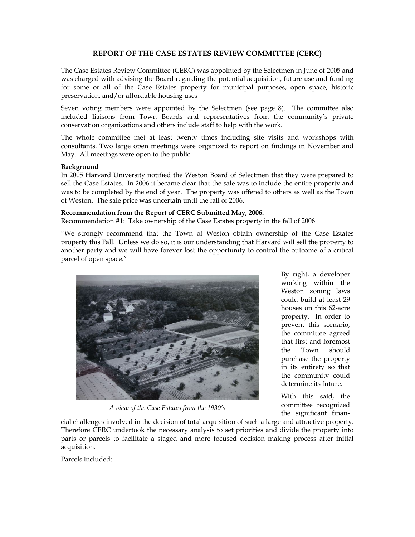# **REPORT OF THE CASE ESTATES REVIEW COMMITTEE (CERC)**

The Case Estates Review Committee (CERC) was appointed by the Selectmen in June of 2005 and was charged with advising the Board regarding the potential acquisition, future use and funding for some or all of the Case Estates property for municipal purposes, open space, historic preservation, and/or affordable housing uses

Seven voting members were appointed by the Selectmen (see page 8). The committee also included liaisons from Town Boards and representatives from the community's private conservation organizations and others include staff to help with the work.

The whole committee met at least twenty times including site visits and workshops with consultants. Two large open meetings were organized to report on findings in November and May. All meetings were open to the public.

### **Background**

In 2005 Harvard University notified the Weston Board of Selectmen that they were prepared to sell the Case Estates. In 2006 it became clear that the sale was to include the entire property and was to be completed by the end of year. The property was offered to others as well as the Town of Weston. The sale price was uncertain until the fall of 2006.

# **Recommendation from the Report of CERC Submitted May, 2006.**

Recommendation #1: Take ownership of the Case Estates property in the fall of 2006

"We strongly recommend that the Town of Weston obtain ownership of the Case Estates property this Fall. Unless we do so, it is our understanding that Harvard will sell the property to another party and we will have forever lost the opportunity to control the outcome of a critical parcel of open space."



*A view of the Case Estates from the 1930's* 

By right, a developer working within the Weston zoning laws could build at least 29 houses on this 62-acre property. In order to prevent this scenario, the committee agreed that first and foremost the Town should purchase the property in its entirety so that the community could determine its future.

With this said, the committee recognized the significant finan-

cial challenges involved in the decision of total acquisition of such a large and attractive property. Therefore CERC undertook the necessary analysis to set priorities and divide the property into parts or parcels to facilitate a staged and more focused decision making process after initial acquisition.

Parcels included: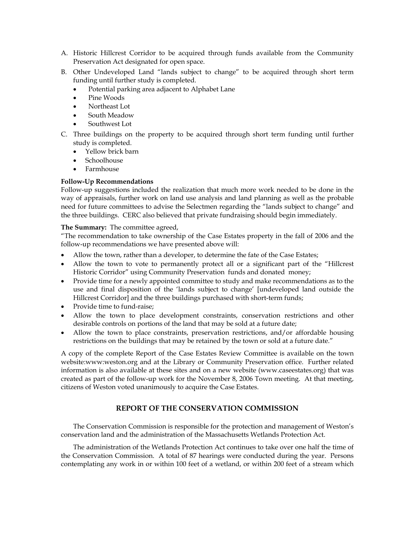- A. Historic Hillcrest Corridor to be acquired through funds available from the Community Preservation Act designated for open space.
- B. Other Undeveloped Land "lands subject to change" to be acquired through short term funding until further study is completed.
	- Potential parking area adjacent to Alphabet Lane
	- Pine Woods
	- Northeast Lot
	- South Meadow
	- Southwest Lot
- C. Three buildings on the property to be acquired through short term funding until further study is completed.
	- Yellow brick barn
	- Schoolhouse
	- Farmhouse

### **Follow-Up Recommendations**

Follow-up suggestions included the realization that much more work needed to be done in the way of appraisals, further work on land use analysis and land planning as well as the probable need for future committees to advise the Selectmen regarding the "lands subject to change" and the three buildings. CERC also believed that private fundraising should begin immediately.

### **The Summary:** The committee agreed,

"The recommendation to take ownership of the Case Estates property in the fall of 2006 and the follow-up recommendations we have presented above will:

- Allow the town, rather than a developer, to determine the fate of the Case Estates;
- Allow the town to vote to permanently protect all or a significant part of the "Hillcrest Historic Corridor" using Community Preservation funds and donated money;
- Provide time for a newly appointed committee to study and make recommendations as to the use and final disposition of the 'lands subject to change' [undeveloped land outside the Hillcrest Corridor] and the three buildings purchased with short-term funds;
- Provide time to fund-raise;
- Allow the town to place development constraints, conservation restrictions and other desirable controls on portions of the land that may be sold at a future date;
- Allow the town to place constraints, preservation restrictions, and/or affordable housing restrictions on the buildings that may be retained by the town or sold at a future date."

A copy of the complete Report of the Case Estates Review Committee is available on the town website:www:weston.org and at the Library or Community Preservation office. Further related information is also available at these sites and on a new website (www.caseestates.org) that was created as part of the follow-up work for the November 8, 2006 Town meeting. At that meeting, citizens of Weston voted unanimously to acquire the Case Estates.

# **REPORT OF THE CONSERVATION COMMISSION**

The Conservation Commission is responsible for the protection and management of Weston's conservation land and the administration of the Massachusetts Wetlands Protection Act.

The administration of the Wetlands Protection Act continues to take over one half the time of the Conservation Commission. A total of 87 hearings were conducted during the year. Persons contemplating any work in or within 100 feet of a wetland, or within 200 feet of a stream which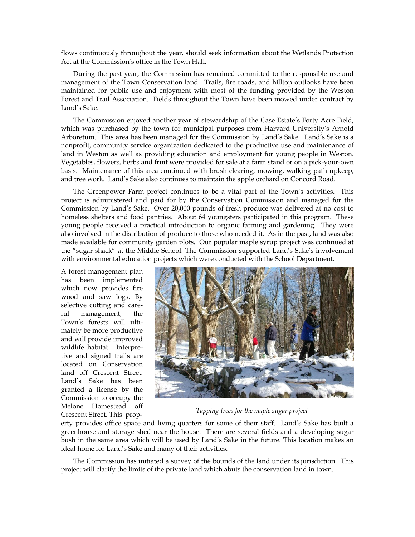flows continuously throughout the year, should seek information about the Wetlands Protection Act at the Commission's office in the Town Hall.

During the past year, the Commission has remained committed to the responsible use and management of the Town Conservation land. Trails, fire roads, and hilltop outlooks have been maintained for public use and enjoyment with most of the funding provided by the Weston Forest and Trail Association. Fields throughout the Town have been mowed under contract by Land's Sake.

The Commission enjoyed another year of stewardship of the Case Estate's Forty Acre Field, which was purchased by the town for municipal purposes from Harvard University's Arnold Arboretum. This area has been managed for the Commission by Land's Sake. Land's Sake is a nonprofit, community service organization dedicated to the productive use and maintenance of land in Weston as well as providing education and employment for young people in Weston. Vegetables, flowers, herbs and fruit were provided for sale at a farm stand or on a pick-your-own basis. Maintenance of this area continued with brush clearing, mowing, walking path upkeep, and tree work. Land's Sake also continues to maintain the apple orchard on Concord Road.

The Greenpower Farm project continues to be a vital part of the Town's activities. This project is administered and paid for by the Conservation Commission and managed for the Commission by Land's Sake. Over 20,000 pounds of fresh produce was delivered at no cost to homeless shelters and food pantries. About 64 youngsters participated in this program. These young people received a practical introduction to organic farming and gardening. They were also involved in the distribution of produce to those who needed it. As in the past, land was also made available for community garden plots. Our popular maple syrup project was continued at the "sugar shack" at the Middle School. The Commission supported Land's Sake's involvement with environmental education projects which were conducted with the School Department.

A forest management plan has been implemented which now provides fire wood and saw logs. By selective cutting and careful management, the Town's forests will ultimately be more productive and will provide improved wildlife habitat. Interpretive and signed trails are located on Conservation land off Crescent Street. Land's Sake has been granted a license by the Commission to occupy the Melone Homestead off Crescent Street. This prop- *Tapping trees for the maple sugar project*



erty provides office space and living quarters for some of their staff. Land's Sake has built a greenhouse and storage shed near the house. There are several fields and a developing sugar bush in the same area which will be used by Land's Sake in the future. This location makes an ideal home for Land's Sake and many of their activities.

The Commission has initiated a survey of the bounds of the land under its jurisdiction. This project will clarify the limits of the private land which abuts the conservation land in town.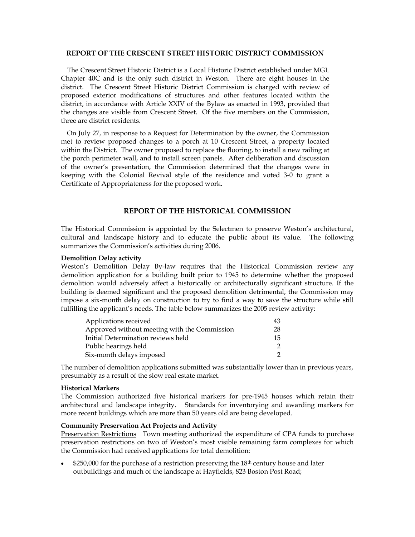### **REPORT OF THE CRESCENT STREET HISTORIC DISTRICT COMMISSION**

The Crescent Street Historic District is a Local Historic District established under MGL Chapter 40C and is the only such district in Weston. There are eight houses in the district. The Crescent Street Historic District Commission is charged with review of proposed exterior modifications of structures and other features located within the district, in accordance with Article XXIV of the Bylaw as enacted in 1993, provided that the changes are visible from Crescent Street. Of the five members on the Commission, three are district residents.

On July 27, in response to a Request for Determination by the owner, the Commission met to review proposed changes to a porch at 10 Crescent Street, a property located within the District. The owner proposed to replace the flooring, to install a new railing at the porch perimeter wall, and to install screen panels. After deliberation and discussion of the owner's presentation, the Commission determined that the changes were in keeping with the Colonial Revival style of the residence and voted 3-0 to grant a Certificate of Appropriateness for the proposed work.

# **REPORT OF THE HISTORICAL COMMISSION**

The Historical Commission is appointed by the Selectmen to preserve Weston's architectural, cultural and landscape history and to educate the public about its value. The following summarizes the Commission's activities during 2006.

#### **Demolition Delay activity**

Weston's Demolition Delay By-law requires that the Historical Commission review any demolition application for a building built prior to 1945 to determine whether the proposed demolition would adversely affect a historically or architecturally significant structure. If the building is deemed significant and the proposed demolition detrimental, the Commission may impose a six-month delay on construction to try to find a way to save the structure while still fulfilling the applicant's needs. The table below summarizes the 2005 review activity:

| Applications received                        | 43 |
|----------------------------------------------|----|
| Approved without meeting with the Commission | 28 |
| Initial Determination reviews held           | 15 |
| Public hearings held                         |    |
| Six-month delays imposed                     |    |

The number of demolition applications submitted was substantially lower than in previous years, presumably as a result of the slow real estate market.

#### **Historical Markers**

The Commission authorized five historical markers for pre-1945 houses which retain their architectural and landscape integrity. Standards for inventorying and awarding markers for more recent buildings which are more than 50 years old are being developed.

# **Community Preservation Act Projects and Activity**

Preservation Restrictions Town meeting authorized the expenditure of CPA funds to purchase preservation restrictions on two of Weston's most visible remaining farm complexes for which the Commission had received applications for total demolition:

 $$250,000$  for the purchase of a restriction preserving the  $18<sup>th</sup>$  century house and later outbuildings and much of the landscape at Hayfields, 823 Boston Post Road;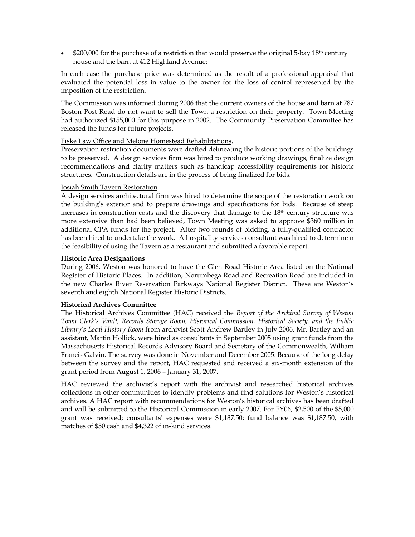$$200,000$  for the purchase of a restriction that would preserve the original 5-bay 18<sup>th</sup> century house and the barn at 412 Highland Avenue;

In each case the purchase price was determined as the result of a professional appraisal that evaluated the potential loss in value to the owner for the loss of control represented by the imposition of the restriction.

The Commission was informed during 2006 that the current owners of the house and barn at 787 Boston Post Road do not want to sell the Town a restriction on their property. Town Meeting had authorized \$155,000 for this purpose in 2002. The Community Preservation Committee has released the funds for future projects.

# Fiske Law Office and Melone Homestead Rehabilitations.

Preservation restriction documents were drafted delineating the historic portions of the buildings to be preserved. A design services firm was hired to produce working drawings, finalize design recommendations and clarify matters such as handicap accessibility requirements for historic structures. Construction details are in the process of being finalized for bids.

### Josiah Smith Tavern Restoration

A design services architectural firm was hired to determine the scope of the restoration work on the building's exterior and to prepare drawings and specifications for bids. Because of steep increases in construction costs and the discovery that damage to the 18<sup>th</sup> century structure was more extensive than had been believed, Town Meeting was asked to approve \$360 million in additional CPA funds for the project. After two rounds of bidding, a fully-qualified contractor has been hired to undertake the work. A hospitality services consultant was hired to determine n the feasibility of using the Tavern as a restaurant and submitted a favorable report.

# **Historic Area Designations**

During 2006, Weston was honored to have the Glen Road Historic Area listed on the National Register of Historic Places. In addition, Norumbega Road and Recreation Road are included in the new Charles River Reservation Parkways National Register District. These are Weston's seventh and eighth National Register Historic Districts.

# **Historical Archives Committee**

The Historical Archives Committee (HAC) received the *Report of the Archival Survey of Weston Town Clerk's Vault, Records Storage Room, Historical Commission, Historical Society, and the Public Library's Local History Room* from archivist Scott Andrew Bartley in July 2006. Mr. Bartley and an assistant, Martin Hollick, were hired as consultants in September 2005 using grant funds from the Massachusetts Historical Records Advisory Board and Secretary of the Commonwealth, William Francis Galvin. The survey was done in November and December 2005. Because of the long delay between the survey and the report, HAC requested and received a six-month extension of the grant period from August 1, 2006 – January 31, 2007.

HAC reviewed the archivist's report with the archivist and researched historical archives collections in other communities to identify problems and find solutions for Weston's historical archives. A HAC report with recommendations for Weston's historical archives has been drafted and will be submitted to the Historical Commission in early 2007. For FY06, \$2,500 of the \$5,000 grant was received; consultants' expenses were \$1,187.50; fund balance was \$1,187.50, with matches of \$50 cash and \$4,322 of in-kind services.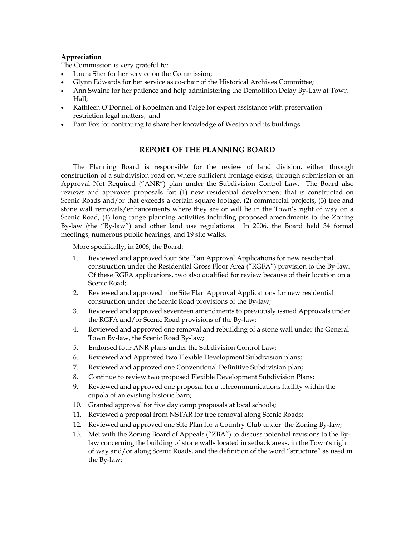# **Appreciation**

The Commission is very grateful to:

- Laura Sher for her service on the Commission;
- Glynn Edwards for her service as co-chair of the Historical Archives Committee;
- Ann Swaine for her patience and help administering the Demolition Delay By-Law at Town Hall;
- Kathleen O'Donnell of Kopelman and Paige for expert assistance with preservation restriction legal matters; and
- Pam Fox for continuing to share her knowledge of Weston and its buildings.

# **REPORT OF THE PLANNING BOARD**

The Planning Board is responsible for the review of land division, either through construction of a subdivision road or, where sufficient frontage exists, through submission of an Approval Not Required ("ANR") plan under the Subdivision Control Law. The Board also reviews and approves proposals for: (1) new residential development that is constructed on Scenic Roads and/or that exceeds a certain square footage, (2) commercial projects, (3) tree and stone wall removals/enhancements where they are or will be in the Town's right of way on a Scenic Road, (4) long range planning activities including proposed amendments to the Zoning By-law (the "By-law") and other land use regulations. In 2006, the Board held 34 formal meetings, numerous public hearings, and 19 site walks.

More specifically, in 2006, the Board:

- 1. Reviewed and approved four Site Plan Approval Applications for new residential construction under the Residential Gross Floor Area ("RGFA") provision to the By-law. Of these RGFA applications, two also qualified for review because of their location on a Scenic Road;
- 2. Reviewed and approved nine Site Plan Approval Applications for new residential construction under the Scenic Road provisions of the By-law;
- 3. Reviewed and approved seventeen amendments to previously issued Approvals under the RGFA and/or Scenic Road provisions of the By-law;
- 4. Reviewed and approved one removal and rebuilding of a stone wall under the General Town By-law, the Scenic Road By-law;
- 5. Endorsed four ANR plans under the Subdivision Control Law;
- 6. Reviewed and Approved two Flexible Development Subdivision plans;
- 7. Reviewed and approved one Conventional Definitive Subdivision plan;
- 8. Continue to review two proposed Flexible Development Subdivision Plans;
- 9. Reviewed and approved one proposal for a telecommunications facility within the cupola of an existing historic barn;
- 10. Granted approval for five day camp proposals at local schools;
- 11. Reviewed a proposal from NSTAR for tree removal along Scenic Roads;
- 12. Reviewed and approved one Site Plan for a Country Club under the Zoning By-law;
- 13. Met with the Zoning Board of Appeals ("ZBA") to discuss potential revisions to the Bylaw concerning the building of stone walls located in setback areas, in the Town's right of way and/or along Scenic Roads, and the definition of the word "structure" as used in the By-law;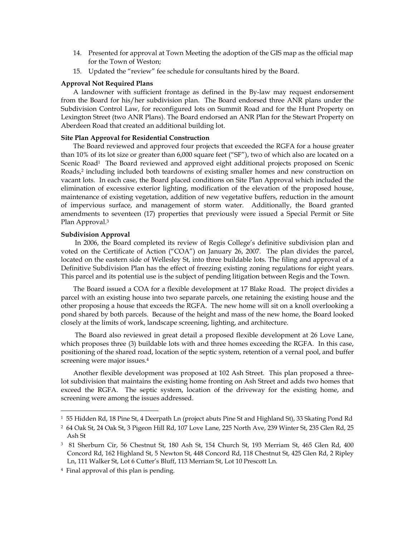- 14. Presented for approval at Town Meeting the adoption of the GIS map as the official map for the Town of Weston;
- 15. Updated the "review" fee schedule for consultants hired by the Board.

#### **Approval Not Required Plans**

A landowner with sufficient frontage as defined in the By-law may request endorsement from the Board for his/her subdivision plan. The Board endorsed three ANR plans under the Subdivision Control Law, for reconfigured lots on Summit Road and for the Hunt Property on Lexington Street (two ANR Plans). The Board endorsed an ANR Plan for the Stewart Property on Aberdeen Road that created an additional building lot.

### **Site Plan Approval for Residential Construction**

The Board reviewed and approved four projects that exceeded the RGFA for a house greater than 10% of its lot size or greater than 6,000 square feet ("SF"), two of which also are located on a Scenic Road<sup>1</sup> The Board reviewed and approved eight additional projects proposed on Scenic Roads,2 including included both teardowns of existing smaller homes and new construction on vacant lots. In each case, the Board placed conditions on Site Plan Approval which included the elimination of excessive exterior lighting, modification of the elevation of the proposed house, maintenance of existing vegetation, addition of new vegetative buffers, reduction in the amount of impervious surface, and management of storm water. Additionally, the Board granted amendments to seventeen (17) properties that previously were issued a Special Permit or Site Plan Approval.3

#### **Subdivision Approval**

 In 2006, the Board completed its review of Regis College's definitive subdivision plan and voted on the Certificate of Action ("COA") on January 26, 2007. The plan divides the parcel, located on the eastern side of Wellesley St, into three buildable lots. The filing and approval of a Definitive Subdivision Plan has the effect of freezing existing zoning regulations for eight years. This parcel and its potential use is the subject of pending litigation between Regis and the Town.

The Board issued a COA for a flexible development at 17 Blake Road. The project divides a parcel with an existing house into two separate parcels, one retaining the existing house and the other proposing a house that exceeds the RGFA. The new home will sit on a knoll overlooking a pond shared by both parcels. Because of the height and mass of the new home, the Board looked closely at the limits of work, landscape screening, lighting, and architecture.

 The Board also reviewed in great detail a proposed flexible development at 26 Love Lane, which proposes three (3) buildable lots with and three homes exceeding the RGFA. In this case, positioning of the shared road, location of the septic system, retention of a vernal pool, and buffer screening were major issues.<sup>4</sup>

Another flexible development was proposed at 102 Ash Street. This plan proposed a threelot subdivision that maintains the existing home fronting on Ash Street and adds two homes that exceed the RGFA. The septic system, location of the driveway for the existing home, and screening were among the issues addressed.

 $\overline{a}$ 

<sup>1 55</sup> Hidden Rd, 18 Pine St, 4 Deerpath Ln (project abuts Pine St and Highland St), 33 Skating Pond Rd

<sup>2 64</sup> Oak St, 24 Oak St, 3 Pigeon Hill Rd, 107 Love Lane, 225 North Ave, 239 Winter St, 235 Glen Rd, 25 Ash St

<sup>3 81</sup> Sherburn Cir, 56 Chestnut St, 180 Ash St, 154 Church St, 193 Merriam St, 465 Glen Rd, 400 Concord Rd, 162 Highland St, 5 Newton St, 448 Concord Rd, 118 Chestnut St, 425 Glen Rd, 2 Ripley Ln, 111 Walker St, Lot 6 Cutter's Bluff, 113 Merriam St, Lot 10 Prescott Ln.

<sup>4</sup> Final approval of this plan is pending.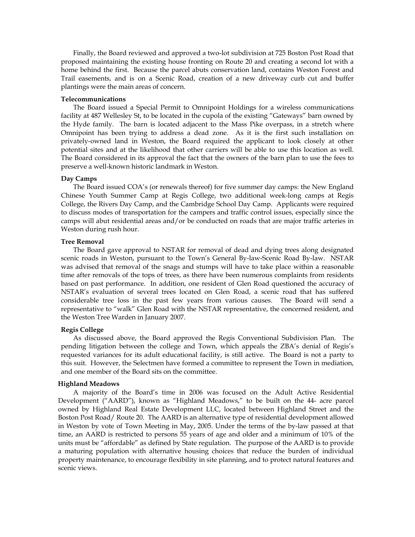Finally, the Board reviewed and approved a two-lot subdivision at 725 Boston Post Road that proposed maintaining the existing house fronting on Route 20 and creating a second lot with a home behind the first. Because the parcel abuts conservation land, contains Weston Forest and Trail easements, and is on a Scenic Road, creation of a new driveway curb cut and buffer plantings were the main areas of concern.

#### **Telecommunications**

The Board issued a Special Permit to Omnipoint Holdings for a wireless communications facility at 487 Wellesley St, to be located in the cupola of the existing "Gateways" barn owned by the Hyde family. The barn is located adjacent to the Mass Pike overpass, in a stretch where Omnipoint has been trying to address a dead zone. As it is the first such installation on privately-owned land in Weston, the Board required the applicant to look closely at other potential sites and at the likelihood that other carriers will be able to use this location as well. The Board considered in its approval the fact that the owners of the barn plan to use the fees to preserve a well-known historic landmark in Weston.

#### **Day Camps**

The Board issued COA's (or renewals thereof) for five summer day camps: the New England Chinese Youth Summer Camp at Regis College, two additional week-long camps at Regis College, the Rivers Day Camp, and the Cambridge School Day Camp. Applicants were required to discuss modes of transportation for the campers and traffic control issues, especially since the camps will abut residential areas and/or be conducted on roads that are major traffic arteries in Weston during rush hour.

#### **Tree Removal**

The Board gave approval to NSTAR for removal of dead and dying trees along designated scenic roads in Weston, pursuant to the Town's General By-law-Scenic Road By-law. NSTAR was advised that removal of the snags and stumps will have to take place within a reasonable time after removals of the tops of trees, as there have been numerous complaints from residents based on past performance. In addition, one resident of Glen Road questioned the accuracy of NSTAR's evaluation of several trees located on Glen Road, a scenic road that has suffered considerable tree loss in the past few years from various causes. The Board will send a representative to "walk" Glen Road with the NSTAR representative, the concerned resident, and the Weston Tree Warden in January 2007.

#### **Regis College**

As discussed above, the Board approved the Regis Conventional Subdivision Plan. The pending litigation between the college and Town, which appeals the ZBA's denial of Regis's requested variances for its adult educational facility, is still active. The Board is not a party to this suit. However, the Selectmen have formed a committee to represent the Town in mediation, and one member of the Board sits on the committee.

#### **Highland Meadows**

A majority of the Board's time in 2006 was focused on the Adult Active Residential Development ("AARD"), known as "Highland Meadows," to be built on the 44- acre parcel owned by Highland Real Estate Development LLC, located between Highland Street and the Boston Post Road/ Route 20. The AARD is an alternative type of residential development allowed in Weston by vote of Town Meeting in May, 2005. Under the terms of the by-law passed at that time, an AARD is restricted to persons 55 years of age and older and a minimum of 10% of the units must be "affordable" as defined by State regulation. The purpose of the AARD is to provide a maturing population with alternative housing choices that reduce the burden of individual property maintenance, to encourage flexibility in site planning, and to protect natural features and scenic views.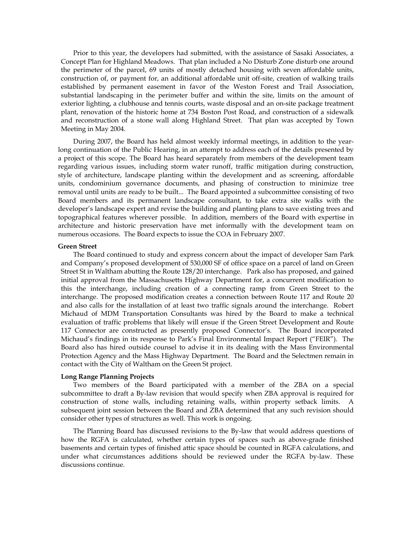Prior to this year, the developers had submitted, with the assistance of Sasaki Associates, a Concept Plan for Highland Meadows. That plan included a No Disturb Zone disturb one around the perimeter of the parcel, 69 units of mostly detached housing with seven affordable units, construction of, or payment for, an additional affordable unit off-site, creation of walking trails established by permanent easement in favor of the Weston Forest and Trail Association, substantial landscaping in the perimeter buffer and within the site, limits on the amount of exterior lighting, a clubhouse and tennis courts, waste disposal and an on-site package treatment plant, renovation of the historic home at 734 Boston Post Road, and construction of a sidewalk and reconstruction of a stone wall along Highland Street. That plan was accepted by Town Meeting in May 2004.

During 2007, the Board has held almost weekly informal meetings, in addition to the yearlong continuation of the Public Hearing, in an attempt to address each of the details presented by a project of this scope. The Board has heard separately from members of the development team regarding various issues, including storm water runoff, traffic mitigation during construction, style of architecture, landscape planting within the development and as screening, affordable units, condominium governance documents, and phasing of construction to minimize tree removal until units are ready to be built... The Board appointed a subcommittee consisting of two Board members and its permanent landscape consultant, to take extra site walks with the developer's landscape expert and revise the building and planting plans to save existing trees and topographical features wherever possible. In addition, members of the Board with expertise in architecture and historic preservation have met informally with the development team on numerous occasions. The Board expects to issue the COA in February 2007.

#### **Green Street**

The Board continued to study and express concern about the impact of developer Sam Park and Company's proposed development of 530,000 SF of office space on a parcel of land on Green Street St in Waltham abutting the Route 128/20 interchange. Park also has proposed, and gained initial approval from the Massachusetts Highway Department for, a concurrent modification to this the interchange, including creation of a connecting ramp from Green Street to the interchange. The proposed modification creates a connection between Route 117 and Route 20 and also calls for the installation of at least two traffic signals around the interchange. Robert Michaud of MDM Transportation Consultants was hired by the Board to make a technical evaluation of traffic problems that likely will ensue if the Green Street Development and Route 117 Connector are constructed as presently proposed Connector's. The Board incorporated Michaud's findings in its response to Park's Final Environmental Impact Report ("FEIR"). The Board also has hired outside counsel to advise it in its dealing with the Mass Environmental Protection Agency and the Mass Highway Department. The Board and the Selectmen remain in contact with the City of Waltham on the Green St project.

#### **Long Range Planning Projects**

Two members of the Board participated with a member of the ZBA on a special subcommittee to draft a By-law revision that would specify when ZBA approval is required for construction of stone walls, including retaining walls, within property setback limits. A subsequent joint session between the Board and ZBA determined that any such revision should consider other types of structures as well. This work is ongoing.

The Planning Board has discussed revisions to the By-law that would address questions of how the RGFA is calculated, whether certain types of spaces such as above-grade finished basements and certain types of finished attic space should be counted in RGFA calculations, and under what circumstances additions should be reviewed under the RGFA by-law. These discussions continue.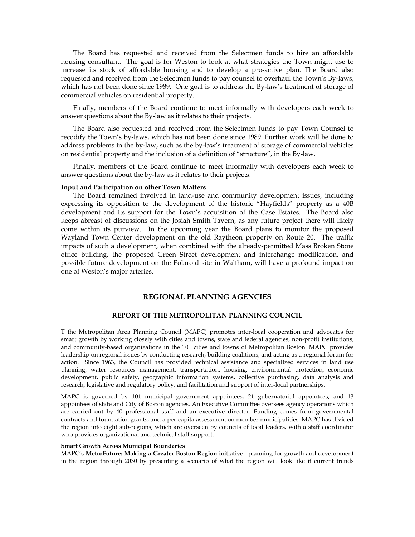The Board has requested and received from the Selectmen funds to hire an affordable housing consultant. The goal is for Weston to look at what strategies the Town might use to increase its stock of affordable housing and to develop a pro-active plan. The Board also requested and received from the Selectmen funds to pay counsel to overhaul the Town's By-laws, which has not been done since 1989. One goal is to address the By-law's treatment of storage of commercial vehicles on residential property.

Finally, members of the Board continue to meet informally with developers each week to answer questions about the By-law as it relates to their projects.

The Board also requested and received from the Selectmen funds to pay Town Counsel to recodify the Town's by-laws, which has not been done since 1989. Further work will be done to address problems in the by-law, such as the by-law's treatment of storage of commercial vehicles on residential property and the inclusion of a definition of "structure", in the By-law.

Finally, members of the Board continue to meet informally with developers each week to answer questions about the by-law as it relates to their projects.

#### **Input and Participation on other Town Matters**

The Board remained involved in land-use and community development issues, including expressing its opposition to the development of the historic "Hayfields" property as a 40B development and its support for the Town's acquisition of the Case Estates. The Board also keeps abreast of discussions on the Josiah Smith Tavern, as any future project there will likely come within its purview. In the upcoming year the Board plans to monitor the proposed Wayland Town Center development on the old Raytheon property on Route 20. The traffic impacts of such a development, when combined with the already-permitted Mass Broken Stone office building, the proposed Green Street development and interchange modification, and possible future development on the Polaroid site in Waltham, will have a profound impact on one of Weston's major arteries.

#### **REGIONAL PLANNING AGENCIES**

#### **REPORT OF THE METROPOLITAN PLANNING COUNCIL**

T the Metropolitan Area Planning Council (MAPC) promotes inter-local cooperation and advocates for smart growth by working closely with cities and towns, state and federal agencies, non-profit institutions, and community-based organizations in the 101 cities and towns of Metropolitan Boston. MAPC provides leadership on regional issues by conducting research, building coalitions, and acting as a regional forum for action. Since 1963, the Council has provided technical assistance and specialized services in land use planning, water resources management, transportation, housing, environmental protection, economic development, public safety, geographic information systems, collective purchasing, data analysis and research, legislative and regulatory policy, and facilitation and support of inter-local partnerships.

MAPC is governed by 101 municipal government appointees, 21 gubernatorial appointees, and 13 appointees of state and City of Boston agencies. An Executive Committee oversees agency operations which are carried out by 40 professional staff and an executive director. Funding comes from governmental contracts and foundation grants, and a per-capita assessment on member municipalities. MAPC has divided the region into eight sub-regions, which are overseen by councils of local leaders, with a staff coordinator who provides organizational and technical staff support.

#### **Smart Growth Across Municipal Boundaries**

MAPC's **MetroFuture: Making a Greater Boston Region** initiative: planning for growth and development in the region through 2030 by presenting a scenario of what the region will look like if current trends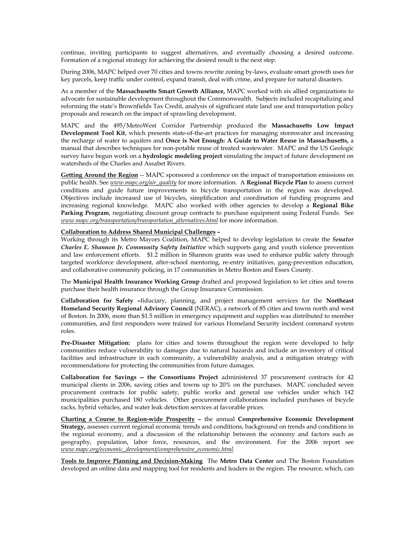continue, inviting participants to suggest alternatives, and eventually choosing a desired outcome. Formation of a regional strategy for achieving the desired result is the next step.

During 2006, MAPC helped over 70 cities and towns rewrite zoning by-laws, evaluate smart growth uses for key parcels, keep traffic under control, expand transit, deal with crime, and prepare for natural disasters.

As a member of the **Massachusetts Smart Growth Alliance,** MAPC worked with six allied organizations to advocate for sustainable development throughout the Commonwealth. Subjects included recapitalizing and reforming the state's Brownfields Tax Credit, analysis of significant state land use and transportation policy proposals and research on the impact of sprawling development.

MAPC and the 495/MetroWest Corridor Partnership produced the **Massachusetts Low Impact Development Tool Kit**, which presents state-of-the-art practices for managing stormwater and increasing the recharge of water to aquifers and **Once is Not Enough: A Guide to Water Reuse in Massachusetts,** a manual that describes techniques for non-potable reuse of treated wastewater. MAPC and the US Geologic survey have begun work on a **hydrologic modeling project** simulating the impact of future development on watersheds of the Charles and Assabet Rivers.

**Getting Around the Region** -- MAPC sponsored a conference on the impact of transportation emissions on public health. See *www.mapc.org/air\_quality* for more information. A **Regional Bicycle Plan** to assess current conditions and guide future improvements to bicycle transportation in the region was developed. Objectives include increased use of bicycles, simplification and coordination of funding programs and increasing regional knowledge. MAPC also worked with other agencies to develop a **Regional Bike Parking Program**, negotiating discount group contracts to purchase equipment using Federal Funds. See *www.mapc.org/transportation/transportation\_alternatives.html* for more information.

# **Collaboration to Address Shared Municipal Challenges –**

Working through its Metro Mayors Coalition, MAPC helped to develop legislation to create the *Senator Charles E. Shannon Jr. Community Safety Initiative* which supports gang and youth violence prevention and law enforcement efforts. \$1.2 million in Shannon grants was used to enhance public safety through targeted workforce development, after-school mentoring, re-entry initiatives, gang-prevention education, and collaborative community policing, in 17 communities in Metro Boston and Essex County.

The **Municipal Health Insurance Working Group** drafted and proposed legislation to let cities and towns purchase their health insurance through the Group Insurance Commission.

**Collaboration for Safety –**fiduciary, planning, and project management services for the **Northeast Homeland Security Regional Advisory Council** (NERAC), a network of 85 cities and towns north and west of Boston. In 2006, more than \$1.5 million in emergency equipment and supplies was distributed to member communities, and first responders were trained for various Homeland Security incident command system roles.

**Pre-Disaster Mitigation:** plans for cities and towns throughout the region were developed to help communities reduce vulnerability to damages due to natural hazards and include an inventory of critical facilities and infrastructure in each community, a vulnerability analysis, and a mitigation strategy with recommendations for protecting the communities from future damages.

**Collaboration for Savings -- the Consortiums Project** administered 37 procurement contracts for 42 municipal clients in 2006, saving cities and towns up to 20% on the purchases. MAPC concluded seven procurement contracts for public safety, public works and general use vehicles under which 142 municipalities purchased 180 vehicles. Other procurement collaborations included purchases of bicycle racks, hybrid vehicles, and water leak detection services at favorable prices.

**Charting a Course to Region-wide Prosperity –** the annual **Comprehensive Economic Development Strategy,** assesses current regional economic trends and conditions, background on trends and conditions in the regional economy, and a discussion of the relationship between the economy and factors such as geography, population, labor force, resources, and the environment. For the 2006 report see *www.mapc.org/economic\_development/comprehensive\_economic.html.* 

**Tools to Improve Planning and Decision-Making** The **Metro Data Center** and The Boston Foundation developed an online data and mapping tool for residents and leaders in the region. The resource, which, can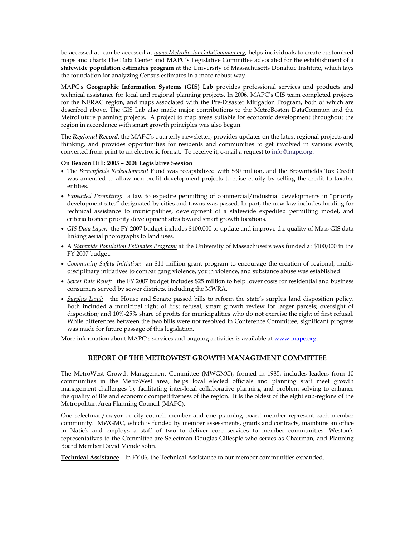be accessed at can be accessed at *www.MetroBostonDataCommon.org*, helps individuals to create customized maps and charts The Data Center and MAPC's Legislative Committee advocated for the establishment of a **statewide population estimates program** at the University of Massachusetts Donahue Institute, which lays the foundation for analyzing Census estimates in a more robust way.

MAPC's **Geographic Information Systems (GIS) Lab** provides professional services and products and technical assistance for local and regional planning projects. In 2006, MAPC's GIS team completed projects for the NERAC region, and maps associated with the Pre-Disaster Mitigation Program, both of which are described above. The GIS Lab also made major contributions to the MetroBoston DataCommon and the MetroFuture planning projects. A project to map areas suitable for economic development throughout the region in accordance with smart growth principles was also begun.

The *Regional Record*, the MAPC's quarterly newsletter, provides updates on the latest regional projects and thinking, and provides opportunities for residents and communities to get involved in various events, converted from print to an electronic format. To receive it, e-mail a request to info@mapc.org.

#### **On Beacon Hill: 2005 – 2006 Legislative Session**

- The *Brownfields Redevelopment* Fund was recapitalized with \$30 million, and the Brownfields Tax Credit was amended to allow non-profit development projects to raise equity by selling the credit to taxable entities.
- *Expedited Permitting:* a law to expedite permitting of commercial/industrial developments in "priority development sites" designated by cities and towns was passed. In part, the new law includes funding for technical assistance to municipalities, development of a statewide expedited permitting model, and criteria to steer priority development sites toward smart growth locations.
- *GIS Data Layer:*the FY 2007 budget includes \$400,000 to update and improve the quality of Mass GIS data linking aerial photographs to land uses.
- A *Statewide Population Estimates Program:* at the University of Massachusetts was funded at \$100,000 in the FY 2007 budget.
- *Community Safety Initiative:* an \$11 million grant program to encourage the creation of regional, multidisciplinary initiatives to combat gang violence, youth violence, and substance abuse was established.
- *Sewer Rate Relief:* the FY 2007 budget includes \$25 million to help lower costs for residential and business consumers served by sewer districts, including the MWRA.
- *Surplus Land:* the House and Senate passed bills to reform the state's surplus land disposition policy. Both included a municipal right of first refusal, smart growth review for larger parcels; oversight of disposition; and 10%-25% share of profits for municipalities who do not exercise the right of first refusal. While differences between the two bills were not resolved in Conference Committee, significant progress was made for future passage of this legislation.

More information about MAPC's services and ongoing activities is available at www.mapc.org.

### **REPORT OF THE METROWEST GROWTH MANAGEMENT COMMITTEE**

The MetroWest Growth Management Committee (MWGMC), formed in 1985, includes leaders from 10 communities in the MetroWest area, helps local elected officials and planning staff meet growth management challenges by facilitating inter-local collaborative planning and problem solving to enhance the quality of life and economic competitiveness of the region. It is the oldest of the eight sub-regions of the Metropolitan Area Planning Council (MAPC).

One selectman/mayor or city council member and one planning board member represent each member community. MWGMC, which is funded by member assessments, grants and contracts, maintains an office in Natick and employs a staff of two to deliver core services to member communities. Weston's representatives to the Committee are Selectman Douglas Gillespie who serves as Chairman, and Planning Board Member David Mendelsohn.

**Technical Assistance** – In FY 06, the Technical Assistance to our member communities expanded.